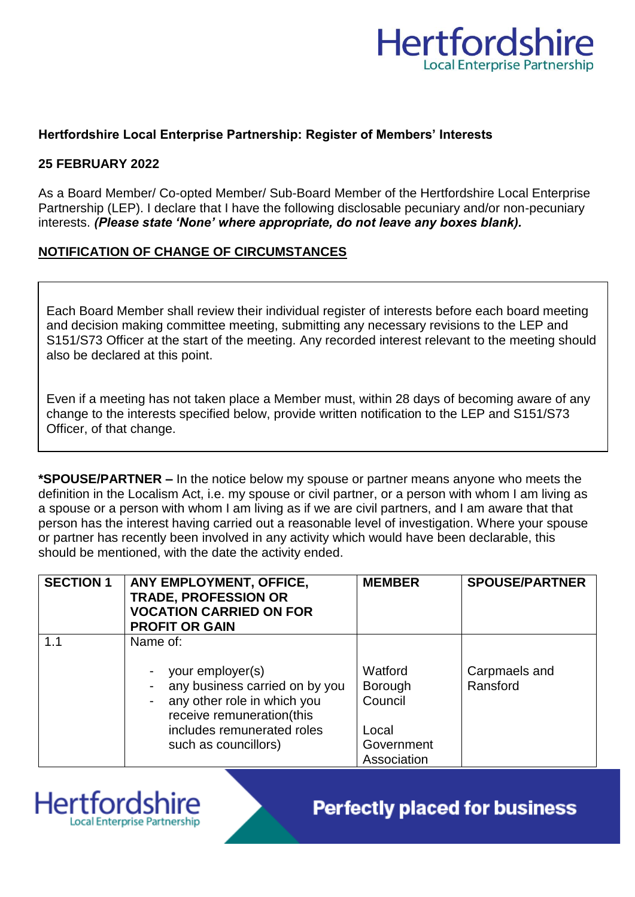

## **Hertfordshire Local Enterprise Partnership: Register of Members' Interests**

#### **25 FEBRUARY 2022**

**Hertfordsh** 

**Local Enterprise Partnership** 

As a Board Member/ Co-opted Member/ Sub-Board Member of the Hertfordshire Local Enterprise Partnership (LEP). I declare that I have the following disclosable pecuniary and/or non-pecuniary interests. *(Please state 'None' where appropriate, do not leave any boxes blank).*

## **NOTIFICATION OF CHANGE OF CIRCUMSTANCES**

Each Board Member shall review their individual register of interests before each board meeting and decision making committee meeting, submitting any necessary revisions to the LEP and S151/S73 Officer at the start of the meeting. Any recorded interest relevant to the meeting should also be declared at this point.

Even if a meeting has not taken place a Member must, within 28 days of becoming aware of any change to the interests specified below, provide written notification to the LEP and S151/S73 Officer, of that change.

**\*SPOUSE/PARTNER –** In the notice below my spouse or partner means anyone who meets the definition in the Localism Act, i.e. my spouse or civil partner, or a person with whom I am living as a spouse or a person with whom I am living as if we are civil partners, and I am aware that that person has the interest having carried out a reasonable level of investigation. Where your spouse or partner has recently been involved in any activity which would have been declarable, this should be mentioned, with the date the activity ended.

| <b>SECTION 1</b> | ANY EMPLOYMENT, OFFICE,<br><b>TRADE, PROFESSION OR</b><br><b>VOCATION CARRIED ON FOR</b><br><b>PROFIT OR GAIN</b> | <b>MEMBER</b>             | <b>SPOUSE/PARTNER</b>     |
|------------------|-------------------------------------------------------------------------------------------------------------------|---------------------------|---------------------------|
| 1.1              | Name of:<br>your employer(s)<br>any business carried on by you                                                    | Watford<br><b>Borough</b> | Carpmaels and<br>Ransford |
|                  | any other role in which you<br>receive remuneration(this<br>includes remunerated roles                            | Council<br>Local          |                           |
|                  | such as councillors)                                                                                              | Government<br>Association |                           |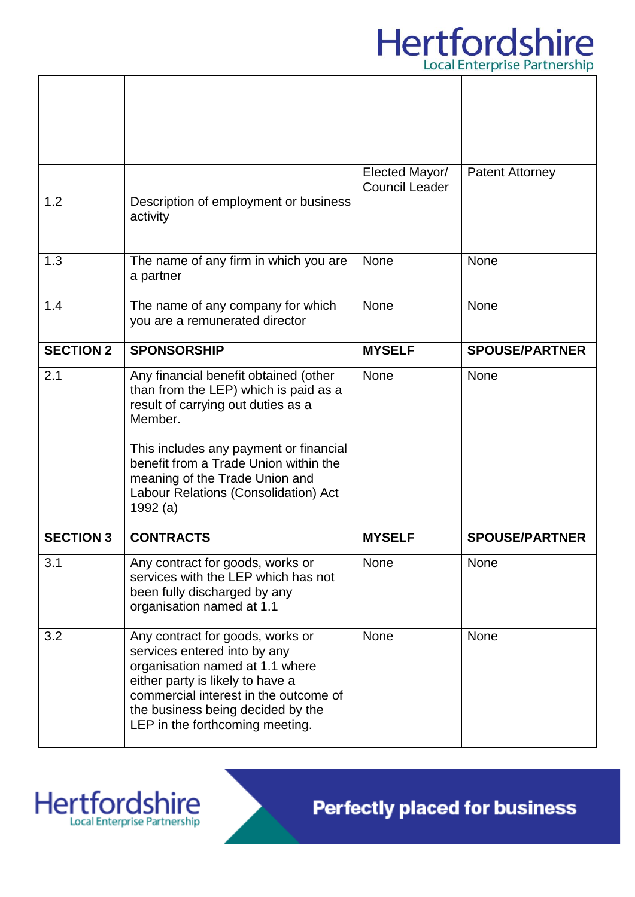

|                  |                                                                                                                                                                                                                                                                                                            | Elected Mayor/        | <b>Patent Attorney</b> |
|------------------|------------------------------------------------------------------------------------------------------------------------------------------------------------------------------------------------------------------------------------------------------------------------------------------------------------|-----------------------|------------------------|
| 1.2              | Description of employment or business<br>activity                                                                                                                                                                                                                                                          | <b>Council Leader</b> |                        |
| 1.3              | The name of any firm in which you are<br>a partner                                                                                                                                                                                                                                                         | None                  | None                   |
| 1.4              | The name of any company for which<br>you are a remunerated director                                                                                                                                                                                                                                        | None                  | <b>None</b>            |
| <b>SECTION 2</b> | <b>SPONSORSHIP</b>                                                                                                                                                                                                                                                                                         | <b>MYSELF</b>         | <b>SPOUSE/PARTNER</b>  |
| 2.1              | Any financial benefit obtained (other<br>than from the LEP) which is paid as a<br>result of carrying out duties as a<br>Member.<br>This includes any payment or financial<br>benefit from a Trade Union within the<br>meaning of the Trade Union and<br>Labour Relations (Consolidation) Act<br>1992 $(a)$ | None                  | <b>None</b>            |
| <b>SECTION 3</b> | <b>CONTRACTS</b>                                                                                                                                                                                                                                                                                           | <b>MYSELF</b>         | <b>SPOUSE/PARTNER</b>  |
| 3.1              | Any contract for goods, works or<br>services with the LEP which has not<br>been fully discharged by any<br>organisation named at 1.1                                                                                                                                                                       | None                  | None                   |
| 3.2              | Any contract for goods, works or<br>services entered into by any<br>organisation named at 1.1 where<br>either party is likely to have a<br>commercial interest in the outcome of<br>the business being decided by the<br>LEP in the forthcoming meeting.                                                   | None                  | None                   |

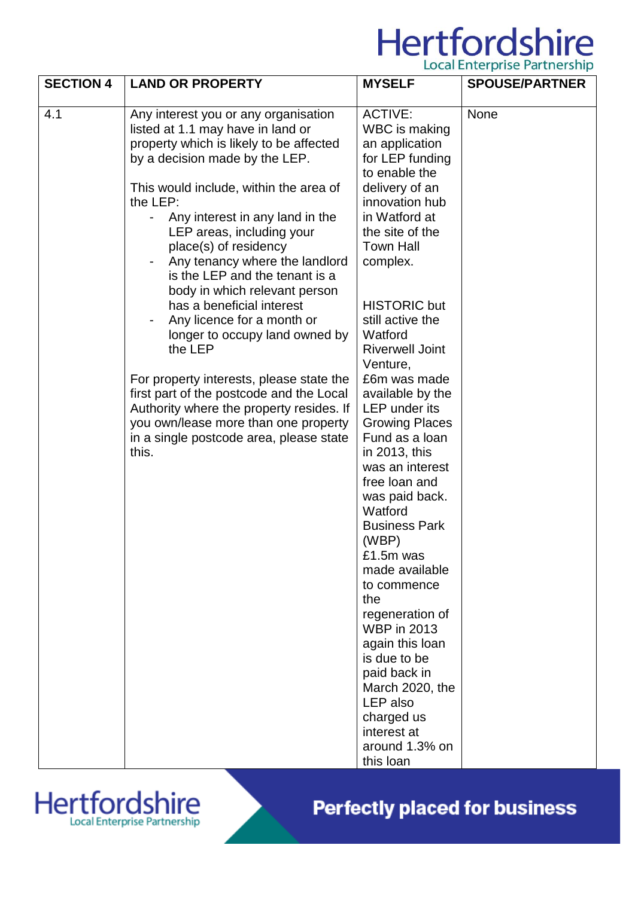## Hertfordshire

| <b>SECTION 4</b> | <b>LAND OR PROPERTY</b>                                                                                                                                                                                                                                                                                                                                                                                                                                                                                                                                                                                                                                                                                                                                              | <b>MYSELF</b>                                                                                                                                                                                                                                                                                                                                                                                                                                                                                                                                                                                                                                                                                                                                      | Local Lifter prise i dititutionip<br><b>SPOUSE/PARTNER</b> |
|------------------|----------------------------------------------------------------------------------------------------------------------------------------------------------------------------------------------------------------------------------------------------------------------------------------------------------------------------------------------------------------------------------------------------------------------------------------------------------------------------------------------------------------------------------------------------------------------------------------------------------------------------------------------------------------------------------------------------------------------------------------------------------------------|----------------------------------------------------------------------------------------------------------------------------------------------------------------------------------------------------------------------------------------------------------------------------------------------------------------------------------------------------------------------------------------------------------------------------------------------------------------------------------------------------------------------------------------------------------------------------------------------------------------------------------------------------------------------------------------------------------------------------------------------------|------------------------------------------------------------|
| 4.1              | Any interest you or any organisation<br>listed at 1.1 may have in land or<br>property which is likely to be affected<br>by a decision made by the LEP.<br>This would include, within the area of<br>the LEP:<br>Any interest in any land in the<br>$\blacksquare$<br>LEP areas, including your<br>place(s) of residency<br>Any tenancy where the landlord<br>is the LEP and the tenant is a<br>body in which relevant person<br>has a beneficial interest<br>Any licence for a month or<br>longer to occupy land owned by<br>the LEP<br>For property interests, please state the<br>first part of the postcode and the Local<br>Authority where the property resides. If<br>you own/lease more than one property<br>in a single postcode area, please state<br>this. | <b>ACTIVE:</b><br>WBC is making<br>an application<br>for LEP funding<br>to enable the<br>delivery of an<br>innovation hub<br>in Watford at<br>the site of the<br><b>Town Hall</b><br>complex.<br><b>HISTORIC but</b><br>still active the<br>Watford<br><b>Riverwell Joint</b><br>Venture,<br>£6m was made<br>available by the<br><b>LEP</b> under its<br><b>Growing Places</b><br>Fund as a loan<br>in 2013, this<br>was an interest<br>free loan and<br>was paid back.<br>Watford<br><b>Business Park</b><br>(WBP)<br>£1.5m was<br>made available<br>to commence<br>the<br>regeneration of<br><b>WBP</b> in 2013<br>again this loan<br>is due to be<br>paid back in<br>March 2020, the<br>LEP also<br>charged us<br>interest at<br>around 1.3% on | None                                                       |
|                  |                                                                                                                                                                                                                                                                                                                                                                                                                                                                                                                                                                                                                                                                                                                                                                      | this loan                                                                                                                                                                                                                                                                                                                                                                                                                                                                                                                                                                                                                                                                                                                                          |                                                            |

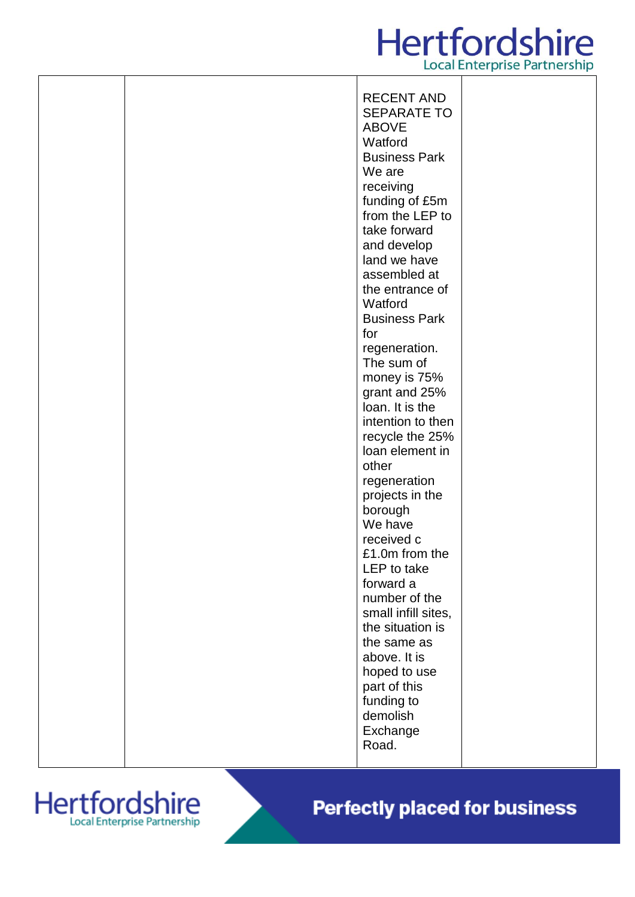## **Hertfordshire Local Enterprise Partnership**

|  | <b>RECENT AND</b>                 |  |
|--|-----------------------------------|--|
|  | <b>SEPARATE TO</b>                |  |
|  | <b>ABOVE</b>                      |  |
|  | Watford                           |  |
|  | <b>Business Park</b><br>We are    |  |
|  |                                   |  |
|  | receiving                         |  |
|  | funding of £5m<br>from the LEP to |  |
|  | take forward                      |  |
|  | and develop                       |  |
|  | land we have                      |  |
|  | assembled at                      |  |
|  | the entrance of                   |  |
|  | Watford                           |  |
|  | <b>Business Park</b>              |  |
|  | for                               |  |
|  | regeneration.                     |  |
|  | The sum of                        |  |
|  | money is 75%                      |  |
|  | grant and 25%                     |  |
|  | loan. It is the                   |  |
|  | intention to then                 |  |
|  | recycle the 25%                   |  |
|  | loan element in                   |  |
|  | other                             |  |
|  | regeneration                      |  |
|  | projects in the                   |  |
|  | borough<br>We have                |  |
|  | received c                        |  |
|  | £1.0m from the                    |  |
|  | LEP to take                       |  |
|  | forward a                         |  |
|  | number of the                     |  |
|  | small infill sites,               |  |
|  | the situation is                  |  |
|  | the same as                       |  |
|  | above. It is                      |  |
|  | hoped to use                      |  |
|  | part of this                      |  |
|  | funding to                        |  |
|  | demolish                          |  |
|  | Exchange                          |  |
|  | Road.                             |  |

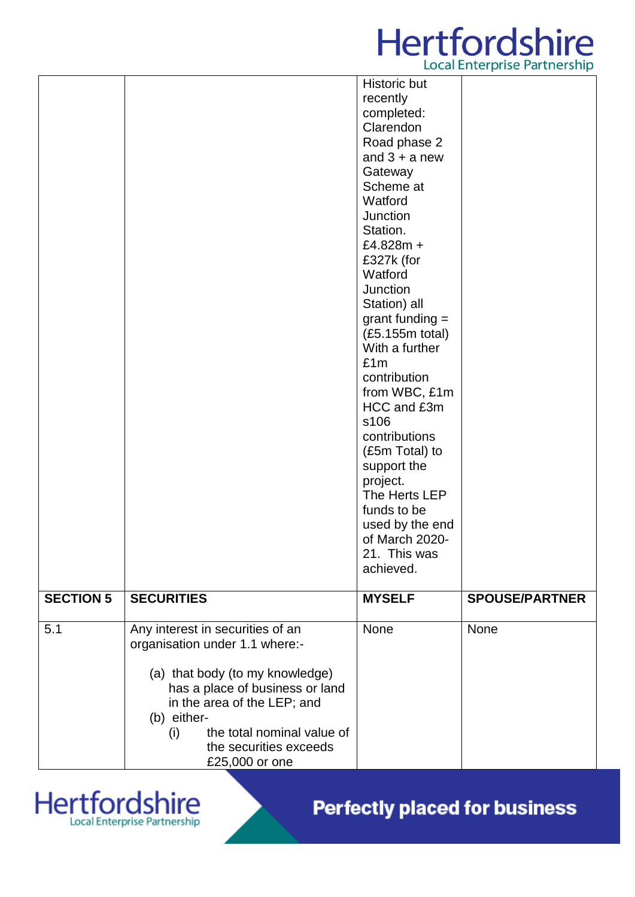# **Hertfordshire**

|                  |                                                                                                                                                                                                                                                                         |                                                                                                                                                                                                                                                                                                                                                                                                                                                                                                              | Ebedi Ericci prise i di criersi lip |
|------------------|-------------------------------------------------------------------------------------------------------------------------------------------------------------------------------------------------------------------------------------------------------------------------|--------------------------------------------------------------------------------------------------------------------------------------------------------------------------------------------------------------------------------------------------------------------------------------------------------------------------------------------------------------------------------------------------------------------------------------------------------------------------------------------------------------|-------------------------------------|
|                  |                                                                                                                                                                                                                                                                         | Historic but<br>recently<br>completed:<br>Clarendon<br>Road phase 2<br>and $3 + a$ new<br>Gateway<br>Scheme at<br>Watford<br>Junction<br>Station.<br>£4.828m +<br>£327k (for<br>Watford<br>Junction<br>Station) all<br>grant funding $=$<br>(£5.155m total)<br>With a further<br>£1m<br>contribution<br>from WBC, £1m<br>HCC and £3m<br>s106<br>contributions<br>(£5m Total) to<br>support the<br>project.<br>The Herts LEP<br>funds to be<br>used by the end<br>of March 2020-<br>21. This was<br>achieved. |                                     |
| <b>SECTION 5</b> | <b>SECURITIES</b>                                                                                                                                                                                                                                                       | <b>MYSELF</b>                                                                                                                                                                                                                                                                                                                                                                                                                                                                                                | <b>SPOUSE/PARTNER</b>               |
| 5.1              | Any interest in securities of an<br>organisation under 1.1 where:-<br>(a) that body (to my knowledge)<br>has a place of business or land<br>in the area of the LEP; and<br>(b) either-<br>the total nominal value of<br>(i)<br>the securities exceeds<br>£25,000 or one | None                                                                                                                                                                                                                                                                                                                                                                                                                                                                                                         | None                                |

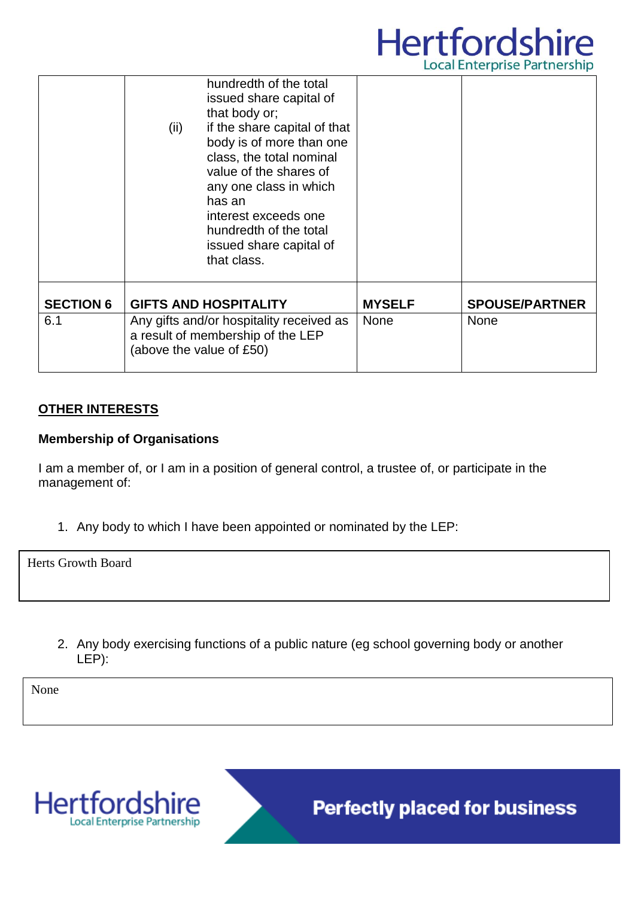

|                  | hundredth of the total<br>issued share capital of<br>that body or;<br>if the share capital of that<br>(ii)<br>body is of more than one<br>class, the total nominal<br>value of the shares of<br>any one class in which<br>has an<br>interest exceeds one<br>hundredth of the total<br>issued share capital of<br>that class. |               |                       |
|------------------|------------------------------------------------------------------------------------------------------------------------------------------------------------------------------------------------------------------------------------------------------------------------------------------------------------------------------|---------------|-----------------------|
| <b>SECTION 6</b> | <b>GIFTS AND HOSPITALITY</b>                                                                                                                                                                                                                                                                                                 | <b>MYSELF</b> | <b>SPOUSE/PARTNER</b> |
| 6.1              | Any gifts and/or hospitality received as<br>a result of membership of the LEP<br>(above the value of £50)                                                                                                                                                                                                                    | <b>None</b>   | <b>None</b>           |

### **OTHER INTERESTS**

### **Membership of Organisations**

I am a member of, or I am in a position of general control, a trustee of, or participate in the management of:

1. Any body to which I have been appointed or nominated by the LEP:

Herts Growth Board

2. Any body exercising functions of a public nature (eg school governing body or another LEP):

None



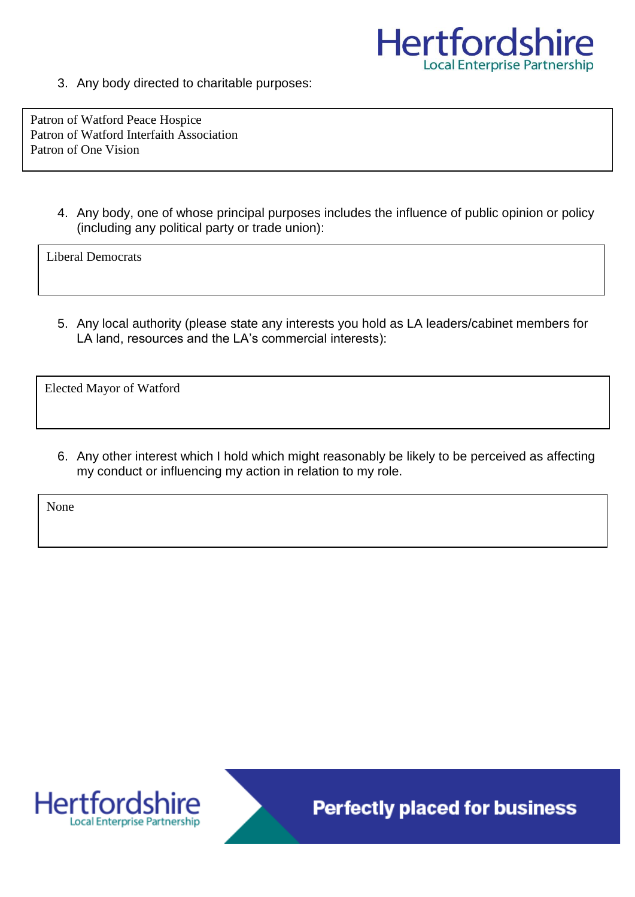

3. Any body directed to charitable purposes:

Patron of Watford Peace Hospice Patron of Watford Interfaith Association Patron of One Vision

> 4. Any body, one of whose principal purposes includes the influence of public opinion or policy (including any political party or trade union):

Liberal Democrats

5. Any local authority (please state any interests you hold as LA leaders/cabinet members for LA land, resources and the LA's commercial interests):

Elected Mayor of Watford

6. Any other interest which I hold which might reasonably be likely to be perceived as affecting my conduct or influencing my action in relation to my role.

None